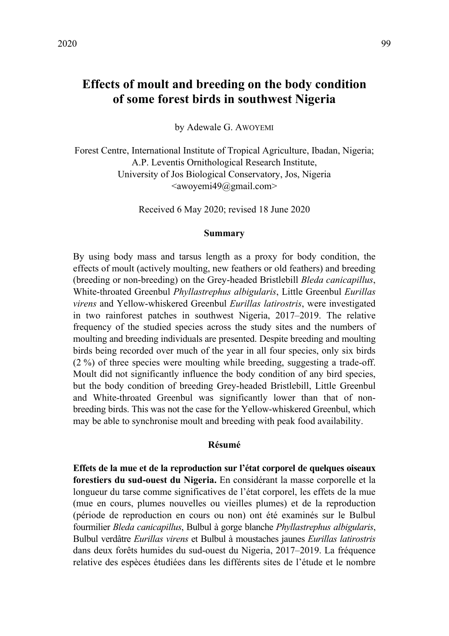# **Effects of moult and breeding on the body condition of some forest birds in southwest Nigeria**

by Adewale G. AWOYEMI

Forest Centre, International Institute of Tropical Agriculture, Ibadan, Nigeria; A.P. Leventis Ornithological Research Institute, University of Jos Biological Conservatory, Jos, Nigeria  $\langle$ awoyemi49@gmail.com $\rangle$ 

Received 6 May 2020; revised 18 June 2020

# **Summary**

By using body mass and tarsus length as a proxy for body condition, the effects of moult (actively moulting, new feathers or old feathers) and breeding (breeding or non-breeding) on the Grey-headed Bristlebill *Bleda canicapillus*, White-throated Greenbul *Phyllastrephus albigularis*, Little Greenbul *Eurillas virens* and Yellow-whiskered Greenbul *Eurillas latirostris*, were investigated in two rainforest patches in southwest Nigeria, 2017–2019. The relative frequency of the studied species across the study sites and the numbers of moulting and breeding individuals are presented. Despite breeding and moulting birds being recorded over much of the year in all four species, only six birds (2 %) of three species were moulting while breeding, suggesting a trade-off. Moult did not significantly influence the body condition of any bird species, but the body condition of breeding Grey-headed Bristlebill, Little Greenbul and White-throated Greenbul was significantly lower than that of nonbreeding birds. This was not the case for the Yellow-whiskered Greenbul, which may be able to synchronise moult and breeding with peak food availability.

# **Résumé**

**Effets de la mue et de la reproduction sur l'état corporel de quelques oiseaux forestiers du sud-ouest du Nigeria.** En considérant la masse corporelle et la longueur du tarse comme significatives de l'état corporel, les effets de la mue (mue en cours, plumes nouvelles ou vieilles plumes) et de la reproduction (période de reproduction en cours ou non) ont été examinés sur le Bulbul fourmilier *Bleda canicapillus*, Bulbul à gorge blanche *Phyllastrephus albigularis*, Bulbul verdâtre *Eurillas virens* et Bulbul à moustaches jaunes *Eurillas latirostris* dans deux forêts humides du sud-ouest du Nigeria, 2017–2019. La fréquence relative des espèces étudiées dans les différents sites de l'étude et le nombre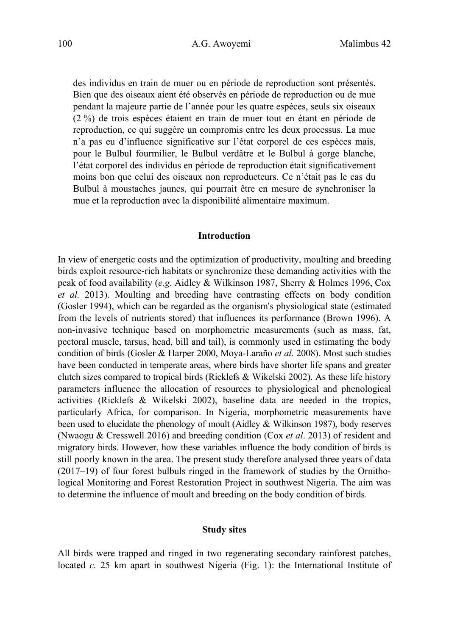des individus en train de muer ou en période de reproduction sont présentés. Bien que des oiseaux aient été observés en période de reproduction ou de mue pendant la majeure partie de l'année pour les quatre espèces, seuls six oiseaux (2 %) de trois espèces étaient en train de muer tout en étant en période de reproduction, ce qui suggère un compromis entre les deux processus. La mue n'a pas eu d'influence significative sur l'état corporel de ces espèces mais, pour le Bulbul fourmilier, le Bulbul verdâtre et le Bulbul à gorge blanche, l'état corporel des individus en période de reproduction était significativement moins bon que celui des oiseaux non reproducteurs. Ce n'était pas le cas du Bulbul à moustaches jaunes, qui pourrait être en mesure de synchroniser la mue et la reproduction avec la disponibilité alimentaire maximum.

# **Introduction**

In view of energetic costs and the optimization of productivity, moulting and breeding birds exploit resource-rich habitats or synchronize these demanding activities with the peak of food availability (*e.g*. Aidley & Wilkinson 1987, Sherry & Holmes 1996, Cox *et al.* 2013). Moulting and breeding have contrasting effects on body condition (Gosler 1994), which can be regarded as the organism's physiological state (estimated from the levels of nutrients stored) that influences its performance (Brown 1996). A non-invasive technique based on morphometric measurements (such as mass, fat, pectoral muscle, tarsus, head, bill and tail), is commonly used in estimating the body condition of birds (Gosler & Harper 2000, Moya-Laraño *et al*. 2008). Most such studies have been conducted in temperate areas, where birds have shorter life spans and greater clutch sizes compared to tropical birds (Ricklefs & Wikelski 2002). As these life history parameters influence the allocation of resources to physiological and phenological activities (Ricklefs & Wikelski 2002), baseline data are needed in the tropics, particularly Africa, for comparison. In Nigeria, morphometric measurements have been used to elucidate the phenology of moult (Aidley & Wilkinson 1987), body reserves (Nwaogu & Cresswell 2016) and breeding condition (Cox *et al*. 2013) of resident and migratory birds. However, how these variables influence the body condition of birds is still poorly known in the area. The present study therefore analysed three years of data (2017–19) of four forest bulbuls ringed in the framework of studies by the Ornithological Monitoring and Forest Restoration Project in southwest Nigeria. The aim was to determine the influence of moult and breeding on the body condition of birds.

# **Study sites**

All birds were trapped and ringed in two regenerating secondary rainforest patches, located *c.* 25 km apart in southwest Nigeria (Fig. 1): the International Institute of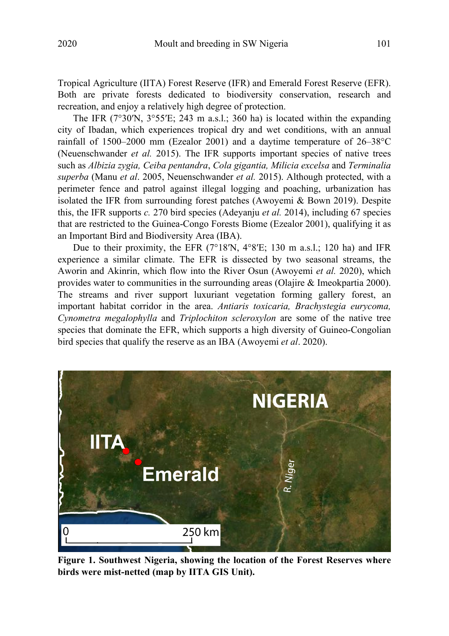Tropical Agriculture (IITA) Forest Reserve (IFR) and Emerald Forest Reserve (EFR). Both are private forests dedicated to biodiversity conservation, research and recreation, and enjoy a relatively high degree of protection.

The IFR  $(7^{\circ}30'N, 3^{\circ}55'E; 243 m a.s.l.; 360 ha)$  is located within the expanding city of Ibadan, which experiences tropical dry and wet conditions, with an annual rainfall of 1500–2000 mm (Ezealor 2001) and a daytime temperature of 26–38°C (Neuenschwander *et al.* 2015). The IFR supports important species of native trees such as *Albizia zygia, Ceiba pentandra*, *Cola gigantia, Milicia excelsa* and *Terminalia superba* (Manu *et al*. 2005, Neuenschwander *et al.* 2015). Although protected, with a perimeter fence and patrol against illegal logging and poaching, urbanization has isolated the IFR from surrounding forest patches (Awoyemi & Bown 2019). Despite this, the IFR supports *c.* 270 bird species (Adeyanju *et al.* 2014), including 67 species that are restricted to the Guinea-Congo Forests Biome (Ezealor 2001), qualifying it as an Important Bird and Biodiversity Area (IBA).

Due to their proximity, the EFR (7°18′N, 4°8′E; 130 m a.s.l.; 120 ha) and IFR experience a similar climate. The EFR is dissected by two seasonal streams, the Aworin and Akinrin, which flow into the River Osun (Awoyemi *et al.* 2020), which provides water to communities in the surrounding areas (Olajire & Imeokpartia 2000). The streams and river support luxuriant vegetation forming gallery forest, an important habitat corridor in the area. *Antiaris toxicaria, Brachystegia eurycoma, Cynometra megalophylla* and *Triplochiton scleroxylon* are some of the native tree species that dominate the EFR, which supports a high diversity of Guineo-Congolian bird species that qualify the reserve as an IBA (Awoyemi *et al*. 2020).



**Figure 1. Southwest Nigeria, showing the location of the Forest Reserves where birds were mist-netted (map by IITA GIS Unit).**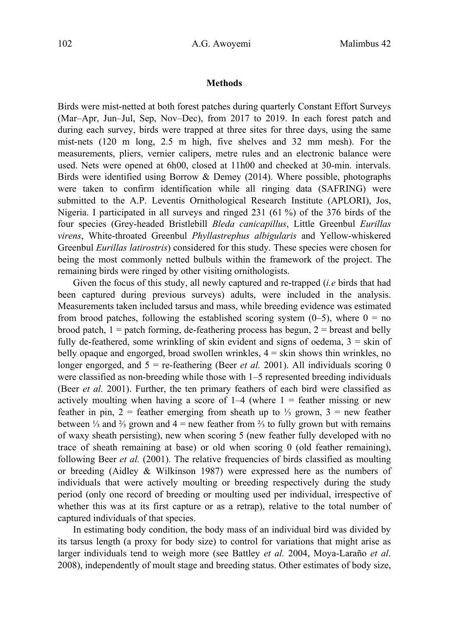#### **Methods**

Birds were mist-netted at both forest patches during quarterly Constant Effort Surveys (Mar–Apr, Jun–Jul, Sep, Nov–Dec), from 2017 to 2019. In each forest patch and during each survey, birds were trapped at three sites for three days, using the same mist-nets (120 m long, 2.5 m high, five shelves and 32 mm mesh). For the measurements, pliers, vernier calipers, metre rules and an electronic balance were used. Nets were opened at 6h00, closed at 11h00 and checked at 30-min. intervals. Birds were identified using Borrow  $\&$  Demey (2014). Where possible, photographs were taken to confirm identification while all ringing data (SAFRING) were submitted to the A.P. Leventis Ornithological Research Institute (APLORI), Jos, Nigeria. I participated in all surveys and ringed 231 (61 %) of the 376 birds of the four species (Grey-headed Bristlebill *Bleda canicapillus*, Little Greenbul *Eurillas virens*, White-throated Greenbul *Phyllastrephus albigularis* and Yellow-whiskered Greenbul *Eurillas latirostris*) considered for this study. These species were chosen for being the most commonly netted bulbuls within the framework of the project. The remaining birds were ringed by other visiting ornithologists.

 Given the focus of this study, all newly captured and re-trapped (*i.e* birds that had been captured during previous surveys) adults, were included in the analysis. Measurements taken included tarsus and mass, while breeding evidence was estimated from brood patches, following the established scoring system  $(0-5)$ , where  $0 =$  no brood patch,  $1 =$  patch forming, de-feathering process has begun,  $2 =$  breast and belly fully de-feathered, some wrinkling of skin evident and signs of oedema,  $3 =$ skin of belly opaque and engorged, broad swollen wrinkles,  $4 =$  skin shows thin wrinkles, no longer engorged, and  $5 =$  re-feathering (Beer *et al.* 2001). All individuals scoring 0 were classified as non-breeding while those with 1–5 represented breeding individuals (Beer *et al.* 2001). Further, the ten primary feathers of each bird were classified as actively moulting when having a score of  $1-4$  (where  $1 =$  feather missing or new feather in pin, 2 = feather emerging from sheath up to  $\frac{1}{3}$  grown, 3 = new feather between ¼ and  $\frac{2}{3}$  grown and  $4 =$  new feather from  $\frac{2}{3}$  to fully grown but with remains of waxy sheath persisting), new when scoring 5 (new feather fully developed with no trace of sheath remaining at base) or old when scoring 0 (old feather remaining), following Beer *et al.* (2001). The relative frequencies of birds classified as moulting or breeding (Aidley & Wilkinson 1987) were expressed here as the numbers of individuals that were actively moulting or breeding respectively during the study period (only one record of breeding or moulting used per individual, irrespective of whether this was at its first capture or as a retrap), relative to the total number of captured individuals of that species.

 In estimating body condition, the body mass of an individual bird was divided by its tarsus length (a proxy for body size) to control for variations that might arise as larger individuals tend to weigh more (see Battley *et al.* 2004, Moya-Laraño *et al*. 2008), independently of moult stage and breeding status. Other estimates of body size,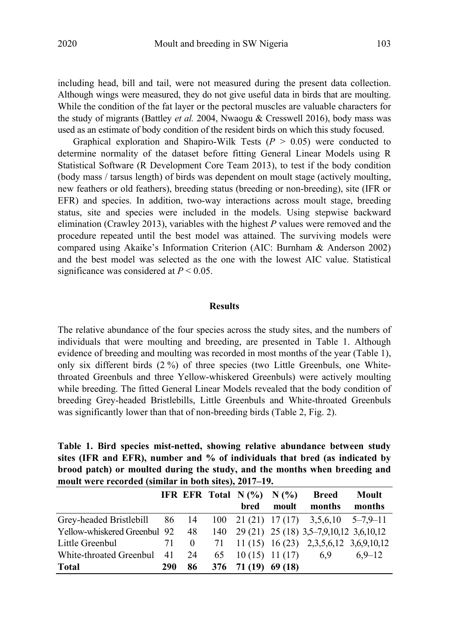including head, bill and tail, were not measured during the present data collection. Although wings were measured, they do not give useful data in birds that are moulting. While the condition of the fat layer or the pectoral muscles are valuable characters for the study of migrants (Battley *et al.* 2004, Nwaogu & Cresswell 2016), body mass was used as an estimate of body condition of the resident birds on which this study focused.

Graphical exploration and Shapiro-Wilk Tests  $(P > 0.05)$  were conducted to determine normality of the dataset before fitting General Linear Models using R Statistical Software (R Development Core Team 2013), to test if the body condition (body mass / tarsus length) of birds was dependent on moult stage (actively moulting, new feathers or old feathers), breeding status (breeding or non-breeding), site (IFR or EFR) and species. In addition, two-way interactions across moult stage, breeding status, site and species were included in the models. Using stepwise backward elimination (Crawley 2013), variables with the highest *P* values were removed and the procedure repeated until the best model was attained. The surviving models were compared using Akaike's Information Criterion (AIC: Burnham & Anderson 2002) and the best model was selected as the one with the lowest AIC value. Statistical significance was considered at *P* < 0.05.

# **Results**

The relative abundance of the four species across the study sites, and the numbers of individuals that were moulting and breeding, are presented in Table 1. Although evidence of breeding and moulting was recorded in most months of the year (Table 1), only six different birds (2 %) of three species (two Little Greenbuls, one Whitethroated Greenbuls and three Yellow-whiskered Greenbuls) were actively moulting while breeding. The fitted General Linear Models revealed that the body condition of breeding Grey-headed Bristlebills, Little Greenbuls and White-throated Greenbuls was significantly lower than that of non-breeding birds (Table 2, Fig. 2).

**Table 1. Bird species mist-netted, showing relative abundance between study sites (IFR and EFR), number and % of individuals that bred (as indicated by brood patch) or moulted during the study, and the months when breeding and moult were recorded (similar in both sites), 2017–19.** 

|                                 |     |      | IFR EFR Total $N(\%)$ $N(\%)$ |       | Breed                                       | Moult      |
|---------------------------------|-----|------|-------------------------------|-------|---------------------------------------------|------------|
|                                 |     |      | bred                          | moult | months                                      | months     |
| Grey-headed Bristlebill 86 14   |     |      |                               |       | $100$ 21 (21) 17 (17) 3,5,6,10 5-7,9-11     |            |
| Yellow-whiskered Greenbul 92 48 |     |      |                               |       | 140 29 (21) 25 (18) 3,5–7,9,10,12 3,6,10,12 |            |
| Little Greenbul                 |     | 71 0 |                               |       | 71 11 (15) 16 (23) 2,3,5,6,12 3,6,9,10,12   |            |
| White-throated Greenbul 41 24   |     |      | 65 10 (15) 11 (17) 6.9        |       |                                             | $6.9 - 12$ |
| Total                           | 290 | 86   | $376$ 71 (19) 69 (18)         |       |                                             |            |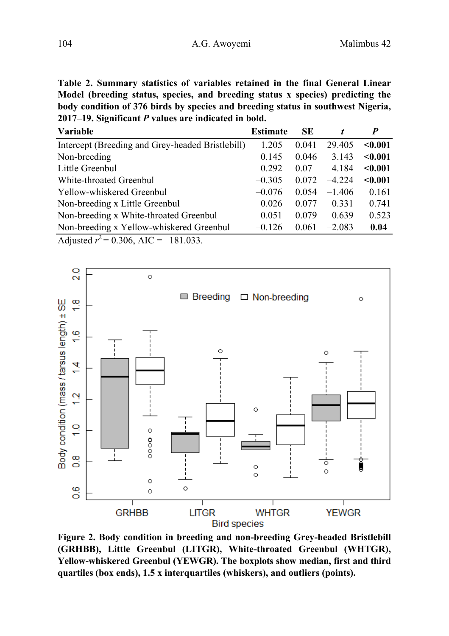**Table 2. Summary statistics of variables retained in the final General Linear Model (breeding status, species, and breeding status x species) predicting the body condition of 376 birds by species and breeding status in southwest Nigeria, 2017–19. Significant** *P* **values are indicated in bold.** 

| <b>Variable</b>                                  | Estimate | SE    |          | P       |
|--------------------------------------------------|----------|-------|----------|---------|
| Intercept (Breeding and Grey-headed Bristlebill) | 1.205    | 0.041 | 29.405   | < 0.001 |
| Non-breeding                                     | 0.145    | 0.046 | 3.143    | < 0.001 |
| Little Greenbul                                  | $-0.292$ | 0.07  | $-4.184$ | < 0.001 |
| White-throated Greenbul                          | $-0.305$ | 0.072 | $-4224$  | < 0.001 |
| Yellow-whiskered Greenbul                        | $-0.076$ | 0.054 | $-1.406$ | 0.161   |
| Non-breeding x Little Greenbul                   | 0.026    | 0.077 | 0.331    | 0.741   |
| Non-breeding x White-throated Greenbul           | $-0.051$ | 0.079 | $-0.639$ | 0.523   |
| Non-breeding x Yellow-whiskered Greenbul         | $-0.126$ | 0.061 | $-2.083$ | 0.04    |
| ممديد المعارضة والمحافيات                        |          |       |          |         |

Adjusted  $r^2$  = 0.306, AIC = -181.033.



**Figure 2. Body condition in breeding and non-breeding Grey-headed Bristlebill (GRHBB), Little Greenbul (LITGR), White-throated Greenbul (WHTGR), Yellow-whiskered Greenbul (YEWGR). The boxplots show median, first and third quartiles (box ends), 1.5 x interquartiles (whiskers), and outliers (points).**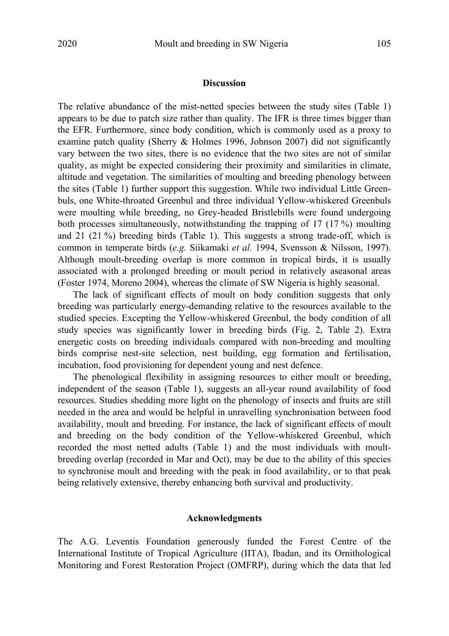# **Discussion**

The relative abundance of the mist-netted species between the study sites (Table 1) appears to be due to patch size rather than quality. The IFR is three times bigger than the EFR. Furthermore, since body condition, which is commonly used as a proxy to examine patch quality (Sherry & Holmes 1996, Johnson 2007) did not significantly vary between the two sites, there is no evidence that the two sites are not of similar quality, as might be expected considering their proximity and similarities in climate, altitude and vegetation. The similarities of moulting and breeding phenology between the sites (Table 1) further support this suggestion. While two individual Little Greenbuls, one White-throated Greenbul and three individual Yellow-whiskered Greenbuls were moulting while breeding, no Grey-headed Bristlebills were found undergoing both processes simultaneously, notwithstanding the trapping of 17 (17 %) moulting and 21 (21 %) breeding birds (Table 1). This suggests a strong trade-off, which is common in temperate birds (*e.g.* Siikamaki *et al.* 1994, Svensson & Nilsson, 1997). Although moult-breeding overlap is more common in tropical birds, it is usually associated with a prolonged breeding or moult period in relatively aseasonal areas (Foster 1974, Moreno 2004), whereas the climate of SW Nigeria is highly seasonal.

 The lack of significant effects of moult on body condition suggests that only breeding was particularly energy-demanding relative to the resources available to the studied species. Excepting the Yellow-whiskered Greenbul, the body condition of all study species was significantly lower in breeding birds (Fig. 2, Table 2). Extra energetic costs on breeding individuals compared with non-breeding and moulting birds comprise nest-site selection, nest building, egg formation and fertilisation, incubation, food provisioning for dependent young and nest defence.

 The phenological flexibility in assigning resources to either moult or breeding, independent of the season (Table 1), suggests an all-year round availability of food resources. Studies shedding more light on the phenology of insects and fruits are still needed in the area and would be helpful in unravelling synchronisation between food availability, moult and breeding. For instance, the lack of significant effects of moult and breeding on the body condition of the Yellow-whiskered Greenbul, which recorded the most netted adults (Table 1) and the most individuals with moultbreeding overlap (recorded in Mar and Oct), may be due to the ability of this species to synchronise moult and breeding with the peak in food availability, or to that peak being relatively extensive, thereby enhancing both survival and productivity.

# **Acknowledgments**

The A.G. Leventis Foundation generously funded the Forest Centre of the International Institute of Tropical Agriculture (IITA), Ibadan, and its Ornithological Monitoring and Forest Restoration Project (OMFRP), during which the data that led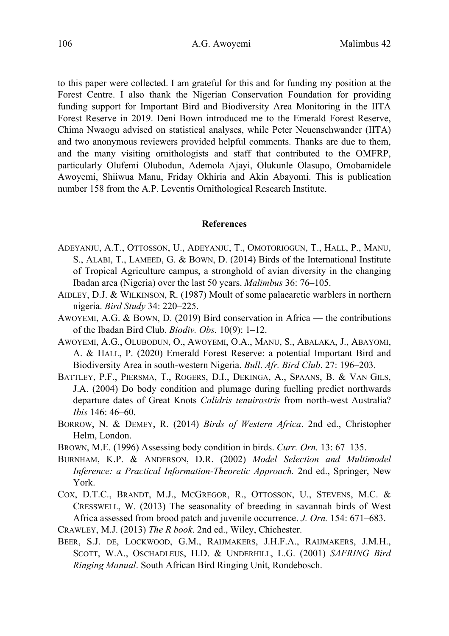to this paper were collected. I am grateful for this and for funding my position at the Forest Centre. I also thank the Nigerian Conservation Foundation for providing funding support for Important Bird and Biodiversity Area Monitoring in the IITA Forest Reserve in 2019. Deni Bown introduced me to the Emerald Forest Reserve, Chima Nwaogu advised on statistical analyses, while Peter Neuenschwander (IITA) and two anonymous reviewers provided helpful comments. Thanks are due to them, and the many visiting ornithologists and staff that contributed to the OMFRP, particularly Olufemi Olubodun, Ademola Ajayi, Olukunle Olasupo, Omobamidele Awoyemi, Shiiwua Manu, Friday Okhiria and Akin Abayomi. This is publication number 158 from the A.P. Leventis Ornithological Research Institute.

# **References**

- ADEYANJU, A.T., OTTOSSON, U., ADEYANJU, T., OMOTORIOGUN, T., HALL, P., MANU, S., ALABI, T., LAMEED, G. & BOWN, D. (2014) Birds of the International Institute of Tropical Agriculture campus, a stronghold of avian diversity in the changing Ibadan area (Nigeria) over the last 50 years. *Malimbus* 36: 76–105.
- AIDLEY, D.J. & WILKINSON, R. (1987) Moult of some palaearctic warblers in northern nigeria. *Bird Study* 34: 220–225.
- AWOYEMI, A.G. & BOWN, D. (2019) Bird conservation in Africa the contributions of the Ibadan Bird Club. *Biodiv. Obs.* 10(9): 1–12.
- AWOYEMI, A.G., OLUBODUN, O., AWOYEMI, O.A., MANU, S., ABALAKA, J., ABAYOMI, A. & HALL, P. (2020) Emerald Forest Reserve: a potential Important Bird and Biodiversity Area in south-western Nigeria. *Bull*. *Afr. Bird Club*. 27: 196–203.
- BATTLEY, P.F., PIERSMA, T., ROGERS, D.I., DEKINGA, A., SPAANS, B. & VAN GILS, J.A. (2004) Do body condition and plumage during fuelling predict northwards departure dates of Great Knots *Calidris tenuirostris* from north-west Australia? *Ibis* 146: 46–60.
- BORROW, N. & DEMEY, R. (2014) *Birds of Western Africa*. 2nd ed., Christopher Helm, London.
- BROWN, M.E. (1996) Assessing body condition in birds. *Curr. Orn.* 13: 67–135.
- BURNHAM, K.P. & ANDERSON, D.R. (2002) *Model Selection and Multimodel Inference: a Practical Information-Theoretic Approach.* 2nd ed., Springer, New York.
- COX, D.T.C., BRANDT, M.J., MCGREGOR, R., OTTOSSON, U., STEVENS, M.C. & CRESSWELL, W. (2013) The seasonality of breeding in savannah birds of West Africa assessed from brood patch and juvenile occurrence. *J. Orn.* 154: 671–683.
- CRAWLEY, M.J. (2013) *The R book*. 2nd ed., Wiley, Chichester.
- BEER, S.J. DE, LOCKWOOD, G.M., RAIJMAKERS, J.H.F.A., RAIJMAKERS, J.M.H., SCOTT, W.A., OSCHADLEUS, H.D. & UNDERHILL, L.G. (2001) *SAFRING Bird Ringing Manual*. South African Bird Ringing Unit, Rondebosch.